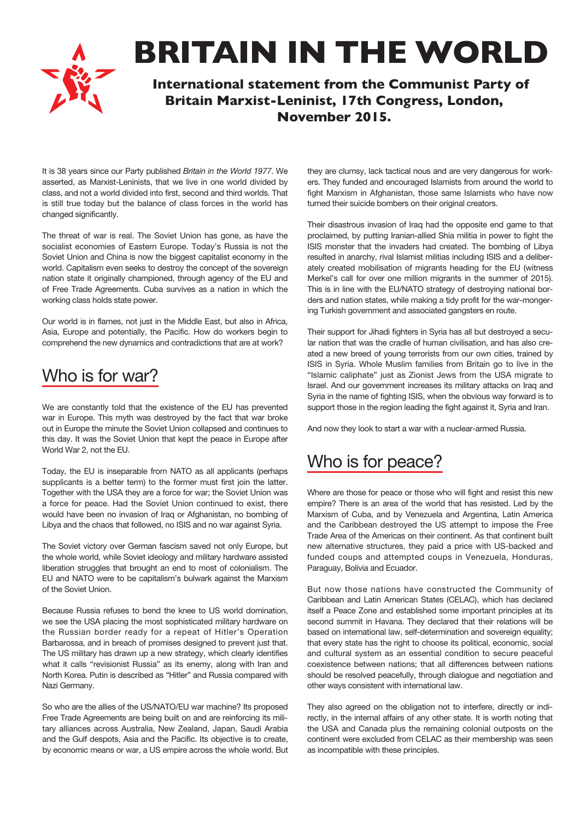**BRITAIN IN THE WORLD**

**International statement from the Communist Party of Britain Marxist-Leninist, 17th Congress, London, November 2015.**

It is 38 years since our Party published *Britain in the World 1977*. We asserted, as Marxist-Leninists, that we live in one world divided by class, and not a world divided into first, second and third worlds. That is still true today but the balance of class forces in the world has changed significantly.

The threat of war is real. The Soviet Union has gone, as have the socialist economies of Eastern Europe. Today's Russia is not the Soviet Union and China is now the biggest capitalist economy in the world. Capitalism even seeks to destroy the concept of the sovereign nation state it originally championed, through agency of the EU and of Free Trade Agreements. Cuba survives as a nation in which the working class holds state power.

Our world is in flames, not just in the Middle East, but also in Africa, Asia, Europe and potentially, the Pacific. How do workers begin to comprehend the new dynamics and contradictions that are at work?

## Who is for war?

We are constantly told that the existence of the EU has prevented war in Europe. This myth was destroyed by the fact that war broke out in Europe the minute the Soviet Union collapsed and continues to this day. It was the Soviet Union that kept the peace in Europe after World War 2, not the EU.

Today, the EU is inseparable from NATO as all applicants (perhaps supplicants is a better term) to the former must first join the latter. Together with the USA they are a force for war; the Soviet Union was a force for peace. Had the Soviet Union continued to exist, there would have been no invasion of Iraq or Afghanistan, no bombing of Libya and the chaos that followed, no ISIS and no war against Syria.

The Soviet victory over German fascism saved not only Europe, but the whole world, while Soviet ideology and military hardware assisted liberation struggles that brought an end to most of colonialism. The EU and NATO were to be capitalism's bulwark against the Marxism of the Soviet Union.

Because Russia refuses to bend the knee to US world domination, we see the USA placing the most sophisticated military hardware on the Russian border ready for a repeat of Hitler's Operation Barbarossa, and in breach of promises designed to prevent just that. The US military has drawn up a new strategy, which clearly identifies what it calls "revisionist Russia" as its enemy, along with Iran and North Korea. Putin is described as "Hitler" and Russia compared with Nazi Germany.

So who are the allies of the US/NATO/EU war machine? Its proposed Free Trade Agreements are being built on and are reinforcing its military alliances across Australia, New Zealand, Japan, Saudi Arabia and the Gulf despots, Asia and the Pacific. Its objective is to create, by economic means or war, a US empire across the whole world. But

they are clumsy, lack tactical nous and are very dangerous for workers. They funded and encouraged Islamists from around the world to fight Marxism in Afghanistan, those same Islamists who have now turned their suicide bombers on their original creators.

Their disastrous invasion of Iraq had the opposite end game to that proclaimed, by putting Iranian-allied Shia militia in power to fight the ISIS monster that the invaders had created. The bombing of Libya resulted in anarchy, rival Islamist militias including ISIS and a deliberately created mobilisation of migrants heading for the EU (witness Merkel's call for over one million migrants in the summer of 2015). This is in line with the EU/NATO strategy of destroying national borders and nation states, while making a tidy profit for the war-mongering Turkish government and associated gangsters en route.

Their support for Jihadi fighters in Syria has all but destroyed a secular nation that was the cradle of human civilisation, and has also created a new breed of young terrorists from our own cities, trained by ISIS in Syria. Whole Muslim families from Britain go to live in the "Islamic caliphate" just as Zionist Jews from the USA migrate to Israel. And our government increases its military attacks on Iraq and Syria in the name of fighting ISIS, when the obvious way forward is to support those in the region leading the fight against it, Syria and Iran.

And now they look to start a war with a nuclear-armed Russia.

## Who is for peace?

Where are those for peace or those who will fight and resist this new empire? There is an area of the world that has resisted. Led by the Marxism of Cuba, and by Venezuela and Argentina, Latin America and the Caribbean destroyed the US attempt to impose the Free Trade Area of the Americas on their continent. As that continent built new alternative structures, they paid a price with US-backed and funded coups and attempted coups in Venezuela, Honduras, Paraguay, Bolivia and Ecuador.

But now those nations have constructed the Community of Caribbean and Latin American States (CELAC), which has declared itself a Peace Zone and established some important principles at its second summit in Havana. They declared that their relations will be based on international law, self-determination and sovereign equality; that every state has the right to choose its political, economic, social and cultural system as an essential condition to secure peaceful coexistence between nations; that all differences between nations should be resolved peacefully, through dialogue and negotiation and other ways consistent with international law.

They also agreed on the obligation not to interfere, directly or indirectly, in the internal affairs of any other state. It is worth noting that the USA and Canada plus the remaining colonial outposts on the continent were excluded from CELAC as their membership was seen as incompatible with these principles.